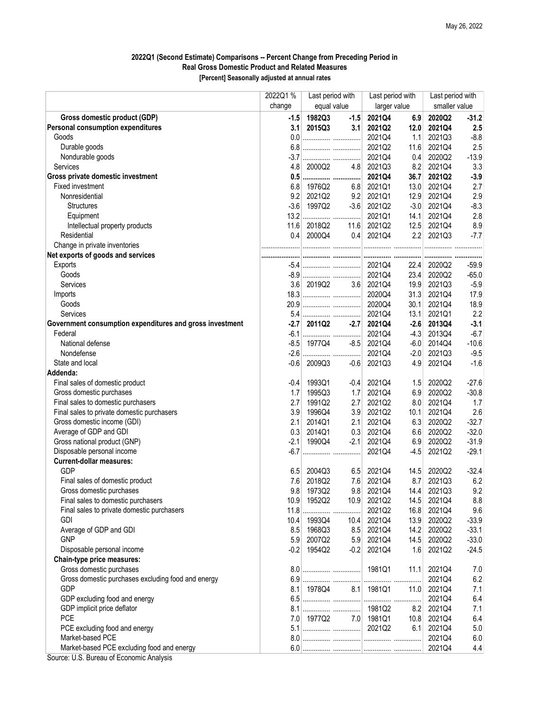## 2022Q1 (Second Estimate) Comparisons -- Percent Change from Preceding Period in Real Gross Domestic Product and Related Measures

[Percent] Seasonally adjusted at annual rates

|                                                                                                       | 2022Q1 % | Last period with |        | Last period with |        | Last period with |         |
|-------------------------------------------------------------------------------------------------------|----------|------------------|--------|------------------|--------|------------------|---------|
|                                                                                                       | change   | equal value      |        | larger value     |        | smaller value    |         |
| Gross domestic product (GDP)                                                                          | $-1.5$   | 1982Q3           | $-1.5$ | 2021Q4           | 6.9    | 2020Q2           | $-31.2$ |
| Personal consumption expenditures                                                                     | 3.1      | 2015Q3           | 3.1    | 2021Q2           | 12.0   | 2021Q4           | 2.5     |
| Goods                                                                                                 | 0.0      |                  |        | 2021Q4           | 1.1    | 2021Q3           | $-8.8$  |
| Durable goods                                                                                         | 6.8      |                  |        | 2021Q2           | 11.6   | 2021Q4           | 2.5     |
| Nondurable goods                                                                                      | $-3.7$   |                  |        | 2021Q4           | 0.4    | 2020Q2           | $-13.9$ |
| <b>Services</b>                                                                                       | 4.8      | 2000Q2           | 4.8    | 2021Q3           | 8.2    | 2021Q4           | 3.3     |
| Gross private domestic investment                                                                     |          | 0.5              |        | 2021Q4           | 36.7   | 2021Q2           | $-3.9$  |
| Fixed investment                                                                                      | 6.8      | 1976Q2           | 6.8    | 2021Q1           | 13.0   | 2021Q4           | 2.7     |
| Nonresidential                                                                                        | 9.2      | 2021Q2           | 9.2    | 2021Q1           | 12.9   | 2021Q4           | 2.9     |
| <b>Structures</b>                                                                                     | $-3.6$   | 1997Q2           | $-3.6$ | 2021Q2           | $-3.0$ | 2021Q4           | $-8.3$  |
| Equipment                                                                                             | 13.2     |                  |        | 2021Q1           | 14.1   | 2021Q4           | 2.8     |
| Intellectual property products                                                                        | 11.6     | 2018Q2           | 11.6   | 2021Q2           | 12.5   | 2021Q4           | 8.9     |
| Residential                                                                                           | 0.4      | 2000Q4           | 0.4    | 2021Q4           | 2.2    | 2021Q3           | $-7.7$  |
| Change in private inventories                                                                         |          |                  |        |                  |        |                  |         |
| Net exports of goods and services                                                                     |          |                  |        |                  |        |                  |         |
| Exports                                                                                               |          |                  |        | 2021Q4           | 22.4   | 2020Q2           | $-59.9$ |
| Goods                                                                                                 |          |                  |        | 2021Q4           | 23.4   | 2020Q2           | $-65.0$ |
| Services                                                                                              | 3.6      | 2019Q2           | 3.6    | 2021Q4           | 19.9   | 2021Q3           | $-5.9$  |
| Imports                                                                                               |          |                  |        | 2020Q4           | 31.3   | 2021Q4           | 17.9    |
| Goods                                                                                                 | 20.9     |                  |        | 2020Q4           | 30.1   | 2021Q4           | 18.9    |
| Services                                                                                              | 5.4      |                  |        | 2021Q4           | 13.1   | 2021Q1           | 2.2     |
| Government consumption expenditures and gross investment                                              | $-2.7$   | 2011Q2           | $-2.7$ | 2021Q4           | $-2.6$ | 2013Q4           | $-3.1$  |
| Federal                                                                                               | $-6.1$   |                  |        | 2021Q4           | $-4.3$ | 2013Q4           | $-6.7$  |
| National defense                                                                                      | $-8.5$   | 1977Q4           | $-8.5$ | 2021Q4           | $-6.0$ | 2014Q4           | $-10.6$ |
| Nondefense                                                                                            | $-2.6$   |                  |        | 2021Q4           | $-2.0$ | 2021Q3           | $-9.5$  |
| State and local                                                                                       | $-0.6$   | 2009Q3           | $-0.6$ | 2021Q3           | 4.9    | 2021Q4           | $-1.6$  |
| Addenda:                                                                                              |          |                  |        |                  |        |                  |         |
| Final sales of domestic product                                                                       | $-0.4$   | 1993Q1           | $-0.4$ | 2021Q4           | 1.5    | 2020Q2           | $-27.6$ |
| Gross domestic purchases                                                                              | 1.7      | 1995Q3           | 1.7    | 2021Q4           | 6.9    | 2020Q2           | $-30.8$ |
| Final sales to domestic purchasers                                                                    | 2.7      | 1991Q2           | 2.7    | 2021Q2           | 8.0    | 2021Q4           | 1.7     |
| Final sales to private domestic purchasers                                                            | 3.9      | 1996Q4           | 3.9    | 2021Q2           | 10.1   | 2021Q4           | 2.6     |
| Gross domestic income (GDI)                                                                           | 2.1      | 2014Q1           | 2.1    | 2021Q4           | 6.3    | 2020Q2           | $-32.7$ |
| Average of GDP and GDI                                                                                | 0.3      | 2014Q1           | 0.3    | 2021Q4           | 6.6    | 2020Q2           | $-32.0$ |
| Gross national product (GNP)                                                                          | $-2.1$   | 1990Q4           | $-2.1$ | 2021Q4           | 6.9    | 2020Q2           | $-31.9$ |
| Disposable personal income                                                                            | $-6.7$   |                  |        | 2021Q4           | $-4.5$ | 2021Q2           | $-29.1$ |
| <b>Current-dollar measures:</b>                                                                       |          |                  |        |                  |        |                  |         |
| <b>GDP</b>                                                                                            | 6.5      | 2004Q3           | 6.5    | 2021Q4           | 14.5   | 2020Q2           | $-32.4$ |
| Final sales of domestic product                                                                       | 7.6      | 2018Q2           | 7.6    | 2021Q4           | 8.7    | 2021Q3           | 6.2     |
| Gross domestic purchases                                                                              | 9.8      | 1973Q2           | 9.8    | 2021Q4           | 14.4   | 2021Q3           | 9.2     |
| Final sales to domestic purchasers                                                                    | 10.9     | 1952Q2           | 10.9   | 2021Q2           | 14.5   | 2021Q4           | 8.8     |
| Final sales to private domestic purchasers                                                            |          | 11.8             |        | 2021Q2           | 16.8   | 2021Q4           | 9.6     |
| <b>GDI</b>                                                                                            | 10.4     | 1993Q4           | 10.4   | 2021Q4           | 13.9   | 2020Q2           | $-33.9$ |
| Average of GDP and GDI                                                                                | 8.5      | 1968Q3           | 8.5    | 2021Q4           | 14.2   | 2020Q2           | $-33.1$ |
| <b>GNP</b>                                                                                            | 5.9      | 2007Q2           | 5.9    | 2021Q4           | 14.5   | 2020Q2           | $-33.0$ |
| Disposable personal income                                                                            | $-0.2$   | 1954Q2           | $-0.2$ | 2021Q4           | 1.6    | 2021Q2           | $-24.5$ |
| Chain-type price measures:                                                                            |          |                  |        |                  |        |                  |         |
| Gross domestic purchases                                                                              | 8.0      |                  |        | 1981Q1           |        | 2021Q4           | 7.0     |
| Gross domestic purchases excluding food and energy                                                    |          |                  |        |                  | 11.1   |                  | 6.2     |
| <b>GDP</b>                                                                                            | 6.9      |                  |        |                  |        | 2021Q4           |         |
|                                                                                                       | 8.1      | 1978Q4           |        | 8.1 1981Q1       | 11.0   | 2021Q4           | 7.1     |
| GDP excluding food and energy                                                                         |          |                  |        | 1981Q2           |        | 2021Q4           | 6.4     |
| GDP implicit price deflator<br>PCE                                                                    |          |                  |        |                  | 8.2    | 2021Q4           | 7.1     |
|                                                                                                       | 7.0      | 1977Q2           |        | 7.0 1981Q1       |        | 10.8 2021Q4      | 6.4     |
| PCE excluding food and energy                                                                         |          |                  |        |                  |        | $6.1$ 2021Q4     | 5.0     |
| Market-based PCE                                                                                      |          |                  |        |                  |        | 2021Q4           | 6.0     |
| Market-based PCE excluding food and energy<br>$\mathbf{H} \cap \mathbf{D}$ is a set of $\mathbf{F}$ . |          |                  |        |                  |        | 2021Q4           | 4.4     |

Source: U.S. Bureau of Economic Analysis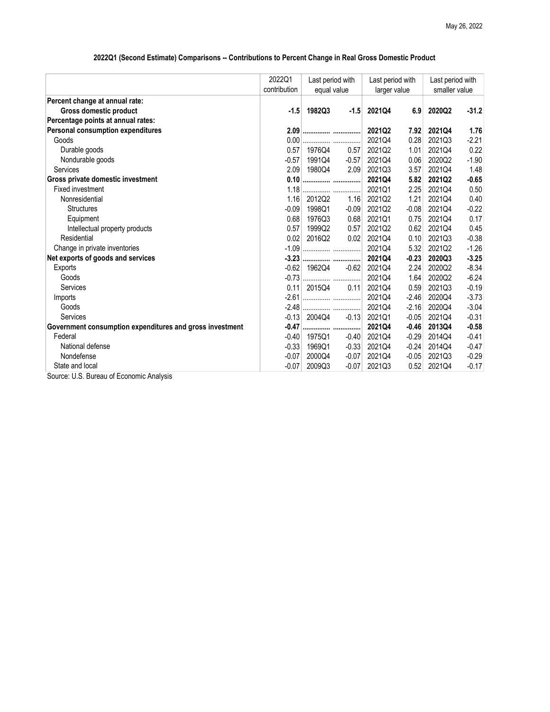## 2022Q1 (Second Estimate) Comparisons -- Contributions to Percent Change in Real Gross Domestic Product

|                                                          | 2022Q1       | Last period with<br>equal value |         | Last period with<br>larger value |         | Last period with<br>smaller value |         |
|----------------------------------------------------------|--------------|---------------------------------|---------|----------------------------------|---------|-----------------------------------|---------|
|                                                          | contribution |                                 |         |                                  |         |                                   |         |
| Percent change at annual rate:                           |              |                                 |         |                                  |         |                                   |         |
| Gross domestic product                                   | $-1.5$       | 1982Q3                          | $-1.5$  | 2021Q4                           | 6.9     | 2020Q2                            | $-31.2$ |
| Percentage points at annual rates:                       |              |                                 |         |                                  |         |                                   |         |
| Personal consumption expenditures                        |              | 2.09                            |         | 2021Q2                           | 7.92    | 2021Q4                            | 1.76    |
| Goods                                                    | 0.00         |                                 |         | 2021Q4                           | 0.28    | 2021Q3                            | $-2.21$ |
| Durable goods                                            | 0.57         | 1976Q4                          | 0.57    | 2021Q2                           | 1.01    | 2021Q4                            | 0.22    |
| Nondurable goods                                         | $-0.57$      | 1991Q4                          | $-0.57$ | 2021Q4                           | 0.06    | 2020Q2                            | $-1.90$ |
| Services                                                 | 2.09         | 1980Q4                          | 2.09    | 2021Q3                           | 3.57    | 2021Q4                            | 1.48    |
| Gross private domestic investment                        | 0.10         |                                 |         | 2021Q4                           | 5.82    | 2021Q2                            | $-0.65$ |
| Fixed investment                                         | 1.18         |                                 |         | 2021Q1                           | 2.25    | 2021Q4                            | 0.50    |
| Nonresidential                                           | 1.16         | 2012Q2                          | 1.16    | 2021Q2                           | 1.21    | 2021Q4                            | 0.40    |
| <b>Structures</b>                                        | $-0.09$      | 1998Q1                          | $-0.09$ | 2021Q2                           | $-0.08$ | 2021Q4                            | $-0.22$ |
| Equipment                                                | 0.68         | 1976Q3                          | 0.68    | 2021Q1                           | 0.75    | 2021Q4                            | 0.17    |
| Intellectual property products                           | 0.57         | 1999Q2                          | 0.57    | 2021Q2                           | 0.62    | 2021Q4                            | 0.45    |
| Residential                                              | 0.02         | 2016Q2                          | 0.02    | 2021Q4                           | 0.10    | 2021Q3                            | $-0.38$ |
| Change in private inventories                            |              |                                 |         | 2021Q4                           | 5.32    | 2021Q2                            | $-1.26$ |
| Net exports of goods and services                        |              |                                 |         | 2021Q4                           | $-0.23$ | 2020Q3                            | $-3.25$ |
| Exports                                                  | $-0.62$      | 1962Q4                          | $-0.62$ | 2021Q4                           | 2.24    | 2020Q2                            | $-8.34$ |
| Goods                                                    | $-0.73$      |                                 |         | 2021Q4                           | 1.64    | 2020Q2                            | $-6.24$ |
| Services                                                 | 0.11         | 2015Q4                          | 0.11    | 2021Q4                           | 0.59    | 2021Q3                            | $-0.19$ |
| Imports                                                  |              |                                 |         | 2021Q4                           | $-2.46$ | 2020Q4                            | $-3.73$ |
| Goods                                                    | $-2.48$      |                                 |         | 2021Q4                           | $-2.16$ | 2020Q4                            | $-3.04$ |
| Services                                                 | $-0.13$      | 2004Q4                          | $-0.13$ | 2021Q1                           | $-0.05$ | 2021Q4                            | $-0.31$ |
| Government consumption expenditures and gross investment | $-0.47$      |                                 |         | 2021Q4                           | $-0.46$ | 2013Q4                            | $-0.58$ |
| Federal                                                  | $-0.40$      | 1975Q1                          | $-0.40$ | 2021Q4                           | $-0.29$ | 2014Q4                            | $-0.41$ |
| National defense                                         | $-0.33$      | 1969Q1                          | $-0.33$ | 2021Q4                           | $-0.24$ | 2014Q4                            | $-0.47$ |
| Nondefense                                               | $-0.07$      | 2000Q4                          | $-0.07$ | 2021Q4                           | $-0.05$ | 2021Q3                            | $-0.29$ |
| State and local                                          | $-0.07$      | 2009Q3                          | $-0.07$ | 2021Q3                           | 0.52    | 2021Q4                            | $-0.17$ |
| Source: U.S. Bureau of Economic Analysis                 |              |                                 |         |                                  |         |                                   |         |